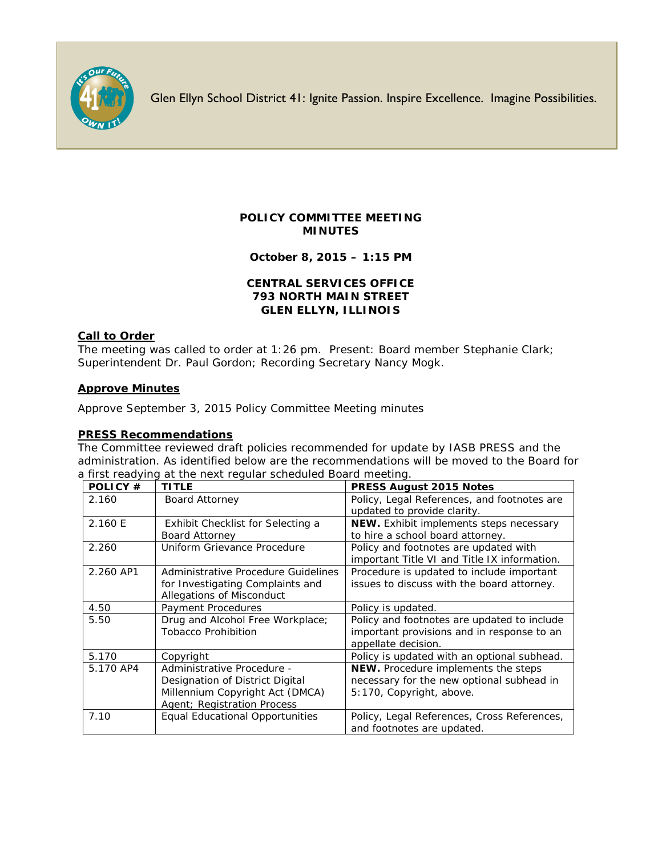

Glen Ellyn School District 41: Ignite Passion. Inspire Excellence. Imagine Possibilities.

# **POLICY COMMITTEE MEETING MINUTES**

**October 8, 2015 – 1:15 PM**

## **CENTRAL SERVICES OFFICE 793 NORTH MAIN STREET GLEN ELLYN, ILLINOIS**

## **Call to Order**

The meeting was called to order at 1:26 pm. Present: Board member Stephanie Clark; Superintendent Dr. Paul Gordon; Recording Secretary Nancy Mogk.

## **Approve Minutes**

Approve September 3, 2015 Policy Committee Meeting minutes

## **PRESS Recommendations**

The Committee reviewed draft policies recommended for update by IASB PRESS and the administration. As identified below are the recommendations will be moved to the Board for a first readying at the next regular scheduled Board meeting.

| POLICY#   | <b>TITLE</b>                           | <b>PRESS August 2015 Notes</b>               |
|-----------|----------------------------------------|----------------------------------------------|
| 2.160     | <b>Board Attorney</b>                  | Policy, Legal References, and footnotes are  |
|           |                                        | updated to provide clarity.                  |
| 2.160 E   | Exhibit Checklist for Selecting a      | NEW. Exhibit implements steps necessary      |
|           | <b>Board Attorney</b>                  | to hire a school board attorney.             |
| 2.260     | Uniform Grievance Procedure            | Policy and footnotes are updated with        |
|           |                                        | important Title VI and Title IX information. |
| 2.260 AP1 | Administrative Procedure Guidelines    | Procedure is updated to include important    |
|           | for Investigating Complaints and       | issues to discuss with the board attorney.   |
|           | Allegations of Misconduct              |                                              |
| 4.50      | Payment Procedures                     | Policy is updated.                           |
| 5.50      | Drug and Alcohol Free Workplace;       | Policy and footnotes are updated to include  |
|           | <b>Tobacco Prohibition</b>             | important provisions and in response to an   |
|           |                                        | appellate decision.                          |
| 5.170     | Copyright                              | Policy is updated with an optional subhead.  |
| 5.170 AP4 | Administrative Procedure -             | NEW. Procedure implements the steps          |
|           | Designation of District Digital        | necessary for the new optional subhead in    |
|           | Millennium Copyright Act (DMCA)        | 5:170, Copyright, above.                     |
|           | Agent; Registration Process            |                                              |
| 7.10      | <b>Equal Educational Opportunities</b> | Policy, Legal References, Cross References,  |
|           |                                        | and footnotes are updated.                   |